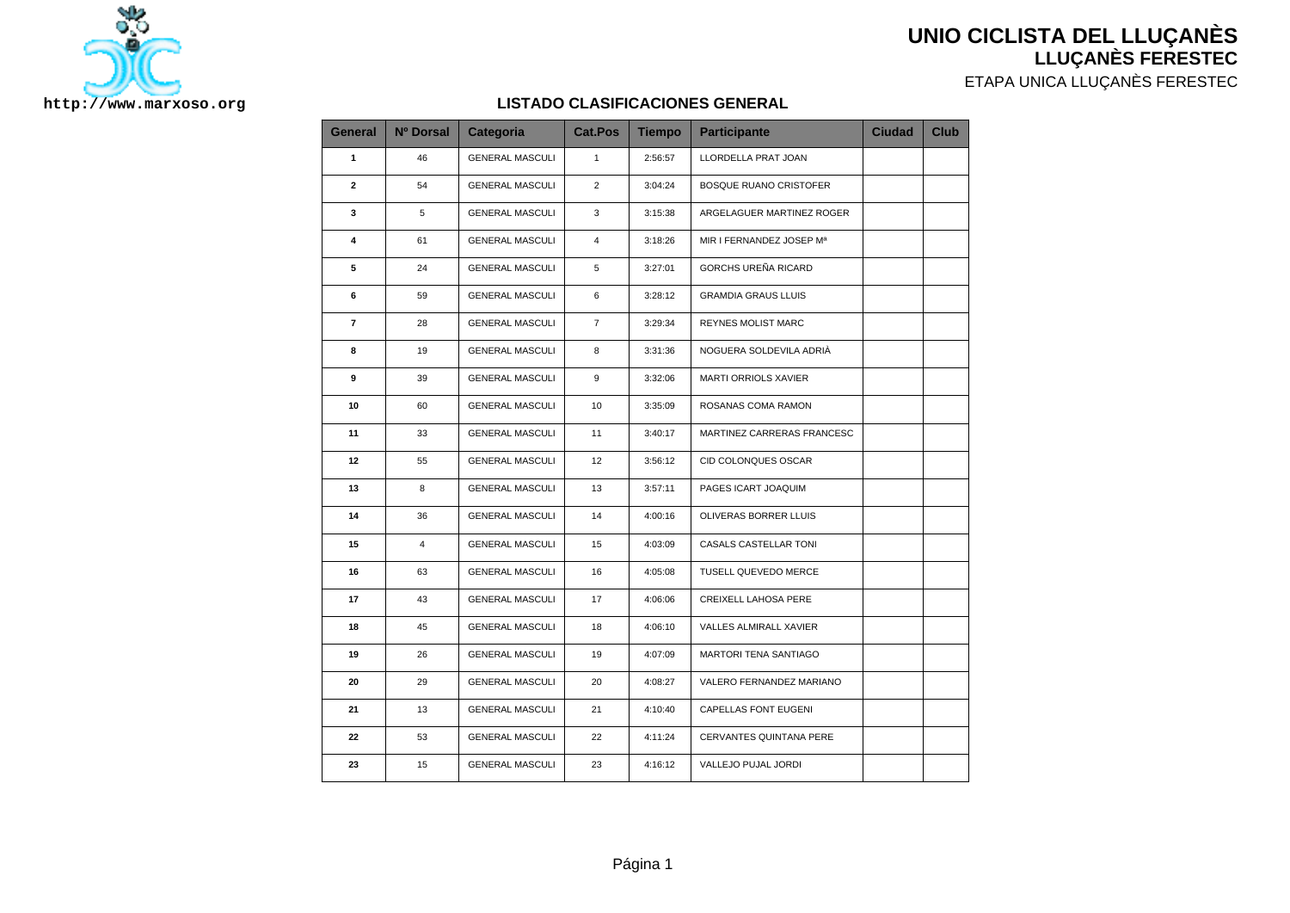



## ETAPA UNICA LLUÇANÈS FERESTEC

**LLUÇANÈS FERESTEC**

## **LISTADO CLASIFICACIONES GENERAL**

| General                 | Nº Dorsal      | Categoria              | Cat.Pos        | <b>Tiempo</b> | <b>Participante</b>           | <b>Ciudad</b> | <b>Club</b> |
|-------------------------|----------------|------------------------|----------------|---------------|-------------------------------|---------------|-------------|
| 1                       | 46             | <b>GENERAL MASCULI</b> | $\mathbf{1}$   | 2:56:57       | LLORDELLA PRAT JOAN           |               |             |
| $\mathbf{2}$            | 54             | <b>GENERAL MASCULI</b> | $\overline{2}$ | 3:04:24       | <b>BOSQUE RUANO CRISTOFER</b> |               |             |
| 3                       | 5              | <b>GENERAL MASCULI</b> | 3              | 3:15:38       | ARGELAGUER MARTINEZ ROGER     |               |             |
| 4                       | 61             | <b>GENERAL MASCULI</b> | 4              | 3:18:26       | MIR I FERNANDEZ JOSEP Mª      |               |             |
| 5                       | 24             | <b>GENERAL MASCULI</b> | 5              | 3:27:01       | GORCHS UREÑA RICARD           |               |             |
| 6                       | 59             | <b>GENERAL MASCULI</b> | 6              | 3:28:12       | <b>GRAMDIA GRAUS LLUIS</b>    |               |             |
| $\overline{\mathbf{r}}$ | 28             | <b>GENERAL MASCULI</b> | $\overline{7}$ | 3:29:34       | <b>REYNES MOLIST MARC</b>     |               |             |
| 8                       | 19             | <b>GENERAL MASCULI</b> | 8              | 3:31:36       | NOGUERA SOLDEVILA ADRIÀ       |               |             |
| 9                       | 39             | <b>GENERAL MASCULI</b> | 9              | 3:32:06       | MARTI ORRIOLS XAVIER          |               |             |
| 10                      | 60             | <b>GENERAL MASCULI</b> | 10             | 3:35:09       | ROSANAS COMA RAMON            |               |             |
| 11                      | 33             | <b>GENERAL MASCULI</b> | 11             | 3:40:17       | MARTINEZ CARRERAS FRANCESC    |               |             |
| 12                      | 55             | <b>GENERAL MASCULI</b> | 12             | 3:56:12       | CID COLONQUES OSCAR           |               |             |
| 13                      | 8              | <b>GENERAL MASCULI</b> | 13             | 3:57:11       | PAGES ICART JOAQUIM           |               |             |
| 14                      | 36             | <b>GENERAL MASCULI</b> | 14             | 4:00:16       | OLIVERAS BORRER LLUIS         |               |             |
| 15                      | $\overline{4}$ | <b>GENERAL MASCULI</b> | 15             | 4:03:09       | CASALS CASTELLAR TONI         |               |             |
| 16                      | 63             | <b>GENERAL MASCULI</b> | 16             | 4:05:08       | TUSELL QUEVEDO MERCE          |               |             |
| 17                      | 43             | <b>GENERAL MASCULI</b> | 17             | 4:06:06       | <b>CREIXELL LAHOSA PERE</b>   |               |             |
| 18                      | 45             | <b>GENERAL MASCULI</b> | 18             | 4:06:10       | VALLES ALMIRALL XAVIER        |               |             |
| 19                      | 26             | <b>GENERAL MASCULI</b> | 19             | 4:07:09       | MARTORI TENA SANTIAGO         |               |             |
| 20                      | 29             | <b>GENERAL MASCULI</b> | 20             | 4:08:27       | VALERO FERNANDEZ MARIANO      |               |             |
| 21                      | 13             | <b>GENERAL MASCULI</b> | 21             | 4:10:40       | CAPELLAS FONT EUGENI          |               |             |
| 22                      | 53             | <b>GENERAL MASCULI</b> | 22             | 4:11:24       | CERVANTES QUINTANA PERE       |               |             |
| 23                      | 15             | <b>GENERAL MASCULI</b> | 23             | 4:16:12       | VALLEJO PUJAL JORDI           |               |             |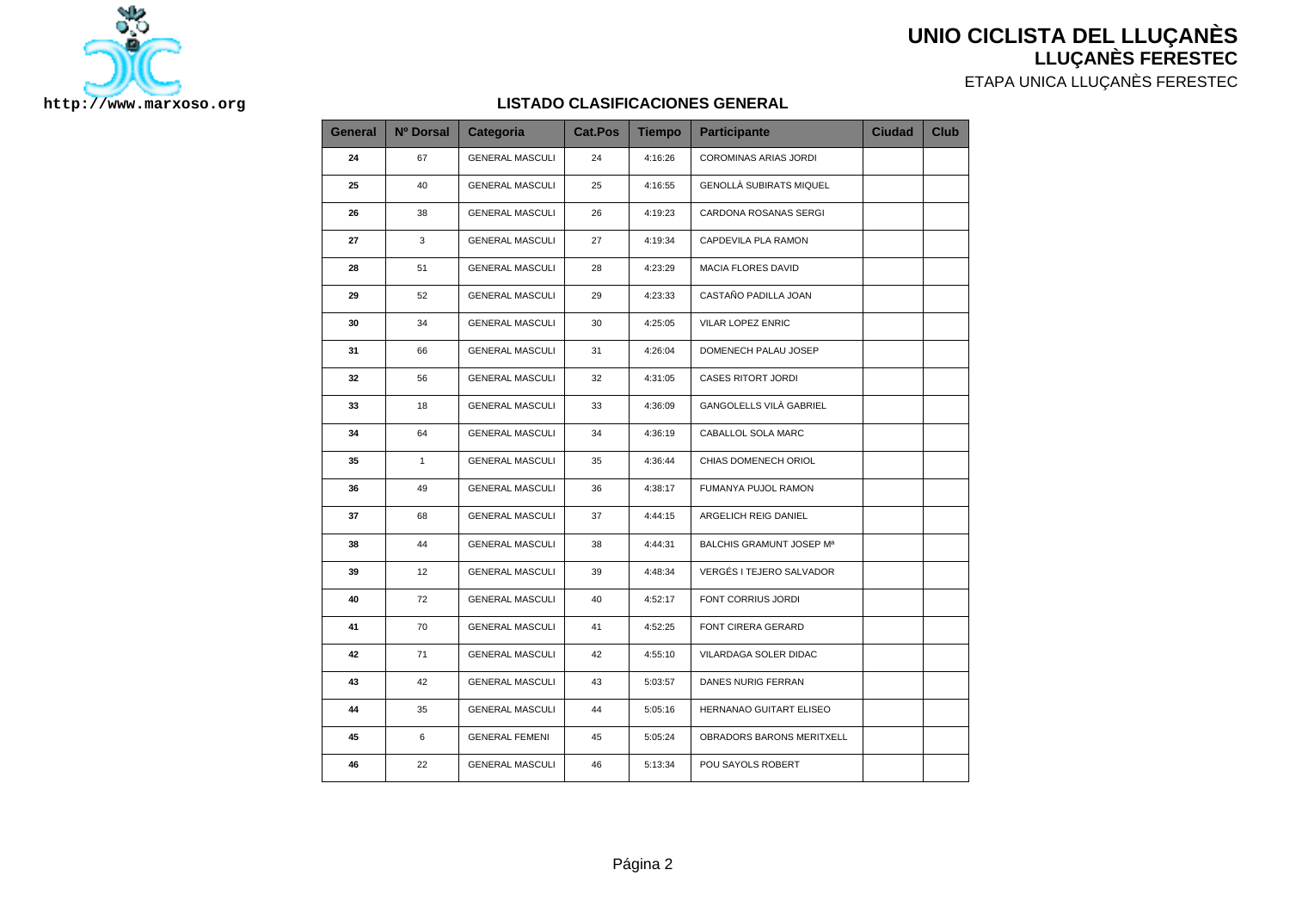

ETAPA UNICA LLUÇANÈS FERESTEC



## **LISTADO CLASIFICACIONES GENERAL**

| <b>General</b> | Nº Dorsal    | <b>Categoria</b>       | <b>Cat.Pos</b> | <b>Tiempo</b> | <b>Participante</b>       | <b>Ciudad</b> | <b>Club</b> |
|----------------|--------------|------------------------|----------------|---------------|---------------------------|---------------|-------------|
| 24             | 67           | <b>GENERAL MASCULI</b> | 24             | 4:16:26       | COROMINAS ARIAS JORDI     |               |             |
| 25             | 40           | <b>GENERAL MASCULI</b> | 25             | 4:16:55       | GENOLLÀ SUBIRATS MIQUEL   |               |             |
| 26             | 38           | <b>GENERAL MASCULI</b> | 26             | 4:19:23       | CARDONA ROSANAS SERGI     |               |             |
| 27             | 3            | <b>GENERAL MASCULI</b> | 27             | 4:19:34       | CAPDEVILA PLA RAMON       |               |             |
| 28             | 51           | <b>GENERAL MASCULI</b> | 28             | 4:23:29       | MACIA FLORES DAVID        |               |             |
| 29             | 52           | <b>GENERAL MASCULI</b> | 29             | 4:23:33       | CASTAÑO PADILLA JOAN      |               |             |
| 30             | 34           | <b>GENERAL MASCULI</b> | 30             | 4:25:05       | VILAR LOPEZ ENRIC         |               |             |
| 31             | 66           | <b>GENERAL MASCULI</b> | 31             | 4:26:04       | DOMENECH PALAU JOSEP      |               |             |
| 32             | 56           | <b>GENERAL MASCULI</b> | 32             | 4:31:05       | <b>CASES RITORT JORDI</b> |               |             |
| 33             | 18           | <b>GENERAL MASCULI</b> | 33             | 4:36:09       | GANGOLELLS VILÀ GABRIEL   |               |             |
| 34             | 64           | <b>GENERAL MASCULI</b> | 34             | 4:36:19       | CABALLOL SOLA MARC        |               |             |
| 35             | $\mathbf{1}$ | <b>GENERAL MASCULI</b> | 35             | 4:36:44       | CHIAS DOMENECH ORIOL      |               |             |
| 36             | 49           | <b>GENERAL MASCULI</b> | 36             | 4:38:17       | FUMANYA PUJOL RAMON       |               |             |
| 37             | 68           | <b>GENERAL MASCULI</b> | 37             | 4:44:15       | ARGELICH REIG DANIEL      |               |             |
| 38             | 44           | <b>GENERAL MASCULI</b> | 38             | 4:44:31       | BALCHIS GRAMUNT JOSEP Mª  |               |             |
| 39             | 12           | <b>GENERAL MASCULI</b> | 39             | 4:48:34       | VERGÉS I TEJERO SALVADOR  |               |             |
| 40             | 72           | <b>GENERAL MASCULI</b> | 40             | 4:52:17       | FONT CORRIUS JORDI        |               |             |
| 41             | 70           | <b>GENERAL MASCULI</b> | 41             | 4:52:25       | FONT CIRERA GERARD        |               |             |
| 42             | 71           | <b>GENERAL MASCULI</b> | 42             | 4:55:10       | VILARDAGA SOLER DIDAC     |               |             |
| 43             | 42           | <b>GENERAL MASCULI</b> | 43             | 5:03:57       | DANES NURIG FERRAN        |               |             |
| 44             | 35           | <b>GENERAL MASCULI</b> | 44             | 5:05:16       | HERNANAO GUITART ELISEO   |               |             |
| 45             | 6            | <b>GENERAL FEMENI</b>  | 45             | 5:05:24       | OBRADORS BARONS MERITXELL |               |             |
| 46             | 22           | <b>GENERAL MASCULI</b> | 46             | 5:13:34       | POU SAYOLS ROBERT         |               |             |
|                |              |                        |                |               |                           |               |             |